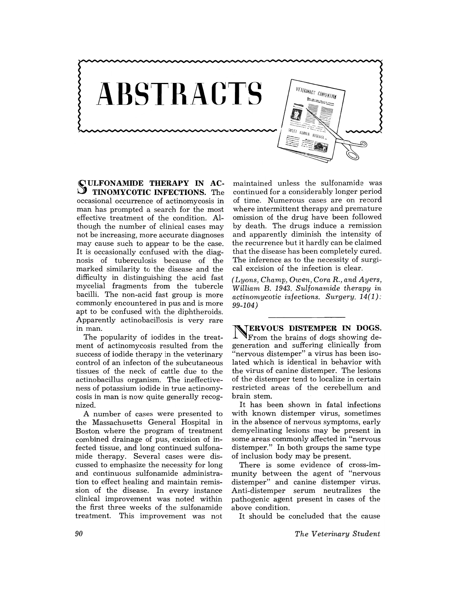

SULFONAMIDE **THERAPY IN AC-** , **TINOMYCOTIC INFECTIONS.** The occasional occurrence of actinomycosis in man has prompted a search for the most effective treatment of the condition. Although the number of clinical cases may not be increasing, more accurate diagnoses may cause such to appear to be the case. It is occasionally confused with the diagnosis of tuberculosis because of the marked similarity to the disease and the difficulty in distinguishing the acid fast mycelial fragments from the tubercle bacilli. The non-acid fast group is more commonly encountered in pus and is more apt to be confused with the diphtheroids. Apparently actinobacillosis is very rare in man.

The popularity of iodides in the treatment of actinomycosis resulted from the success of iodide therapy in the veterinary control of an infecton of the subcutaneous tissues of the neck of cattle due to the actinobacillus organism. The ineffectiveness of potassium iodide in true actinomycosis in man is now quite generally recognized.

A number of cases were presented to the Massachusetts General Hospital in Boston where the program of treatment combined drainage of pus, excision of infected tissue, and long continued sulfonamide therapy. Several cases were discussed to emphasize the necessity for long and continuous sulfonamide administration to effect healing and maintain remission of the disease. In every instance clinical improvement was noted within the first three weeks of the sulfonamide treatment. This improvement was not

maintained unless the sulfonamide was continued for a considerably longer period of time. Numerous cases are on record where intermittent therapy and premature omission of the drug have been followed by death. The drugs induce a remission and apparently diminish the intensity of the recurrence but it hardly can be claimed that the disease has been completely cured. The inference as to the necessity of surgical excision of the infection is clear.

*(Lyons, Champ, Owen, Cora* R., *and Ayers, William* B. 1943. *Sulfonamide therapy in actinomycotic infections. Surgery. 14(1): 99-104)* 

NERVOUS **DISTEMPER IN DOGS.**  From the brains of dogs showing degeneration and suffering clinically from "nervous distemper" a virus has been isolated which is identical in behavior with the virus of canine distemper. The lesions of the distemper tend to localize in certain restricted areas of the cerebellum and brain stem.

It has been shown in fatal infections with known distemper virus, sometimes in the absence of nervous symptoms, early demyelinating lesions may be present in some areas commonly affected in "nervous distemper." In both groups the same type of inclusion body may be present.

There is some evidence of cross-immunity between the agent of "nervous distemper" and canine distemper virus. Anti-distemper serum neutralizes the pathogenic agent present in cases of the above condition.

It should be concluded that the cause

*The Veterinary Student*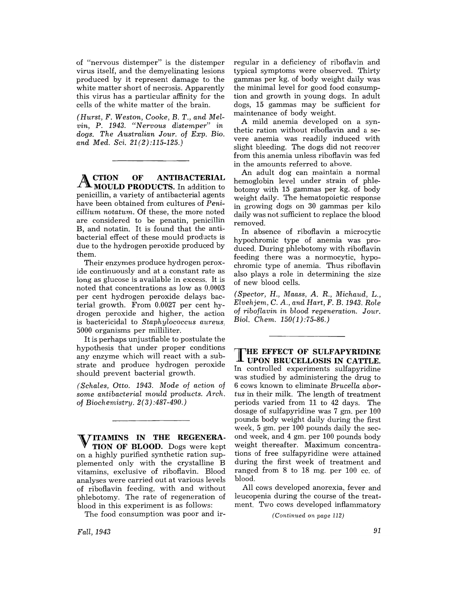of "nervous distemper" is the distemper virus itself, and the demyelinating lesions produced by it represent damage to the white matter short of necrosis. Apparently this virus has a particular affinity for the cells of the white matter of the brain.

*(Hurst,* F. *Weston, Cooke,* B. *T., and Mel* $vin, P.$  1943. *"Nervous distemper" in dogs.* The Australian Jour. of Exp. Bio. *and Med. Sci. 21(2):115-125.)* 

A CTION **OF ANTIBACTERIAL MOULD PRODUCTS.** In addition to penicillin, a variety of antibacterial agents have been obtained from cultures of *Penicillium notatum.* Of these, the more noted are considered to be penatin, penicillin B, and notatin. It is found that the antibacterial effect of these mould products is due to the hydrogen peroxide produced by them.

Their enzymes produce hydrogen peroxide continuously and at a constant rate as long as glucose is available in excess. It is noted that concentrations as low as 0.0003 per cent hydrogen peroxide delays bacterial. growth. From 0.0027 per cent hydrogen peroxide and higher, the action is bactericidal to *Staphylococcus aureus,*  5000 organisms per milliliter.

It is perhaps unjustfiable to postulate the hypothesis that under proper conditions any enzyme which will react with a substrate and produce hydrogen peroxide should prevent bacterial growth.

*(Schales, Otto.* 1943. *Mode* of *action* of *some antibacterial mould products. Arch.*  of *Biochemistry. 2(3):487-490.)* 

**ITAMINS IN THE REGENERA-TION OF BLOOD.** Dogs were kept on. a highly purified synthetic ration supplemented only with the crystalline B vitamins, exclusive of riboflavin. Blood analyses were carried out at various levels of riboflavin feeding, with and without phlebotomy. The rate of regeneration of blood in this experiment is as follows:

The food consumption was poor and ir-

regular in a deficiency of riboflavin and typical symptoms were observed. Thirty gammas per kg. of body weight daily was the minimal level for good food consumption and growth in young dogs. In adult dogs, 15 gammas may be sufficient for maintenance of body weight.

A mild anemia developed on a synthetic ration without riboflavin and a severe anemia was readily induced with slight bleeding. The dogs did not recover from this anemia unless riboflavin was fed in the amounts referred to above.

An adult dog can maintain a normal hemoglobin level under strain of phlebotomy with 15 gammas per kg. of body weight daily. The hematopoietic response in growing dogs on 30 gammas per kilo daily was not sufficient to replace the blood removed.

In absence of riboflavin a microcytic hypochromic type of anemia was produced. During phlebotomy with riboflavin feeding there was a normocytic, hypochromic type of anemia. Thus riboflavin also plays a role in determining the size of new blood cells.

*(Spector, H., Maass, A.* R., *Michaud,* L., *Elvehjem,* C. *A., and Hart,* F. B. 1943. *Role*  of *riboflavin in blood regeneration. Jour. Biol. Chem. 150(1) :75-86.)* 

T HE **EFFECT OF SULFAPYRIDINE UPON BRUCELLOSIS IN CATTLE.**  In controlled experiments sulfapyridine was studied by administering the drug to 6 cows known to eliminate Brucella abor*tus* in their milk. The length of treatment periods varied from 11 to 42 days. The dosage of sulfapyridine was 7 gm. per 100 pounds body weight daily during the first week, 5 gm. per 100 pounds daily the second week, and 4 gm. per 100 pounds body weight thereafter. Maximum concentrations of free sulfapyridine were attained during the first week of treatment and ranged from 8 to 18 mg. per 100 cc. of blood.

All cows developed anorexia, fever and leucopenia during the course of the treatment. Two cows developed inflammatory

*(Continued on page 112)* 

*Fall,1943*